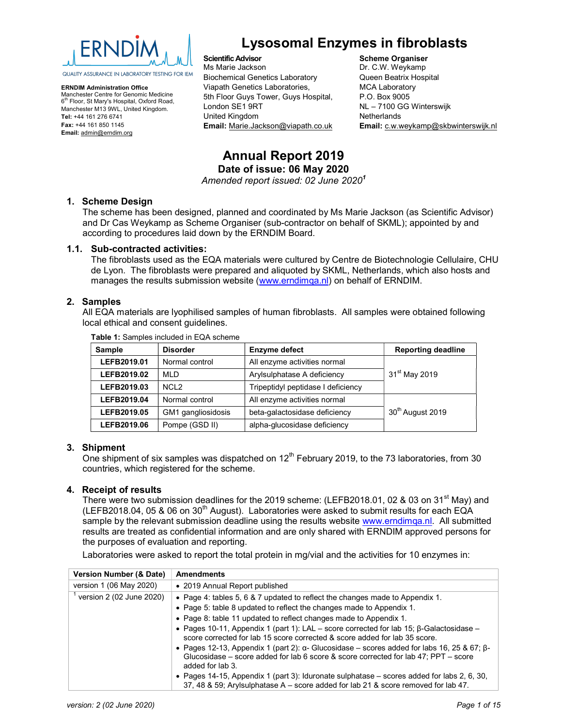

ERNDIM Administration Office Manchester Centre for Genomic Medicine 6 th Floor, St Mary's Hospital, Oxford Road, Manchester M13 9WL, United Kingdom. Tel: +44 161 276 6741 Fax: +44 161 850 1145 Email: admin@erndim.org

# Lysosomal Enzymes in fibroblasts

Scientific Advisor Ms Marie Jackson Biochemical Genetics Laboratory Viapath Genetics Laboratories, 5th Floor Guys Tower, Guys Hospital, London SE1 9RT United Kingdom Email: Marie.Jackson@viapath.co.uk

Scheme Organiser Dr. C.W. Weykamp Queen Beatrix Hospital MCA Laboratory P.O. Box 9005 NL – 7100 GG Winterswijk **Netherlands** Email: c.w.weykamp@skbwinterswijk.nl

# Annual Report 2019 Date of issue: 06 May 2020

Amended report issued: 02 June 2020<sup>1</sup>

#### 1. Scheme Design

The scheme has been designed, planned and coordinated by Ms Marie Jackson (as Scientific Advisor) and Dr Cas Weykamp as Scheme Organiser (sub-contractor on behalf of SKML); appointed by and according to procedures laid down by the ERNDIM Board.

#### 1.1. Sub-contracted activities:

The fibroblasts used as the EQA materials were cultured by Centre de Biotechnologie Cellulaire, CHU de Lyon. The fibroblasts were prepared and aliquoted by SKML, Netherlands, which also hosts and manages the results submission website (www.erndimqa.nl) on behalf of ERNDIM.

#### 2. Samples

All EQA materials are lyophilised samples of human fibroblasts. All samples were obtained following local ethical and consent guidelines.

| <b>Disorder</b><br>Sample     |                    | <b>Enzyme defect</b>               | <b>Reporting deadline</b>    |
|-------------------------------|--------------------|------------------------------------|------------------------------|
| LEFB2019.01                   | Normal control     | All enzyme activities normal       |                              |
| LEFB2019.02                   | <b>MLD</b>         | Arylsulphatase A deficiency        | 31 <sup>st</sup> May 2019    |
| LEFB2019.03                   | NCL <sub>2</sub>   | Tripeptidyl peptidase I deficiency |                              |
| Normal control<br>LEFB2019.04 |                    | All enzyme activities normal       |                              |
| LEFB2019.05                   | GM1 gangliosidosis | beta-galactosidase deficiency      | 30 <sup>th</sup> August 2019 |
| LEFB2019.06                   | Pompe (GSD II)     | alpha-glucosidase deficiency       |                              |

Table 1: Samples included in EQA scheme

#### 3. Shipment

One shipment of six samples was dispatched on  $12<sup>th</sup>$  February 2019, to the 73 laboratories, from 30 countries, which registered for the scheme.

#### 4. Receipt of results

There were two submission deadlines for the 2019 scheme: (LEFB2018.01, 02 & 03 on 31<sup>st</sup> May) and (LEFB2018.04, 05 & 06 on 30<sup>th</sup> August). Laboratories were asked to submit results for each EQA sample by the relevant submission deadline using the results website www.erndimqa.nl. All submitted results are treated as confidential information and are only shared with ERNDIM approved persons for the purposes of evaluation and reporting.

Laboratories were asked to report the total protein in mg/vial and the activities for 10 enzymes in:

| Version Number (& Date)  | <b>Amendments</b>                                                                                                                                                                                                       |
|--------------------------|-------------------------------------------------------------------------------------------------------------------------------------------------------------------------------------------------------------------------|
| version 1 (06 May 2020)  | • 2019 Annual Report published                                                                                                                                                                                          |
| version 2 (02 June 2020) | • Page 4: tables 5, 6 & 7 updated to reflect the changes made to Appendix 1.                                                                                                                                            |
|                          | • Page 5: table 8 updated to reflect the changes made to Appendix 1.                                                                                                                                                    |
|                          | • Page 8: table 11 updated to reflect changes made to Appendix 1.                                                                                                                                                       |
|                          | • Pages 10-11, Appendix 1 (part 1): LAL – score corrected for lab 15; $\beta$ -Galactosidase –<br>score corrected for lab 15 score corrected & score added for lab 35 score.                                            |
|                          | • Pages 12-13, Appendix 1 (part 2): $\alpha$ - Glucosidase – scores added for labs 16, 25 & 67; $\beta$ -<br>Glucosidase – score added for lab 6 score & score corrected for lab $47$ ; PPT – score<br>added for lab 3. |
|                          | • Pages 14-15, Appendix 1 (part 3): Iduronate sulphatase – scores added for labs 2, 6, 30,<br>37, 48 & 59; Arylsulphatase A – score added for lab 21 & score removed for lab 47.                                        |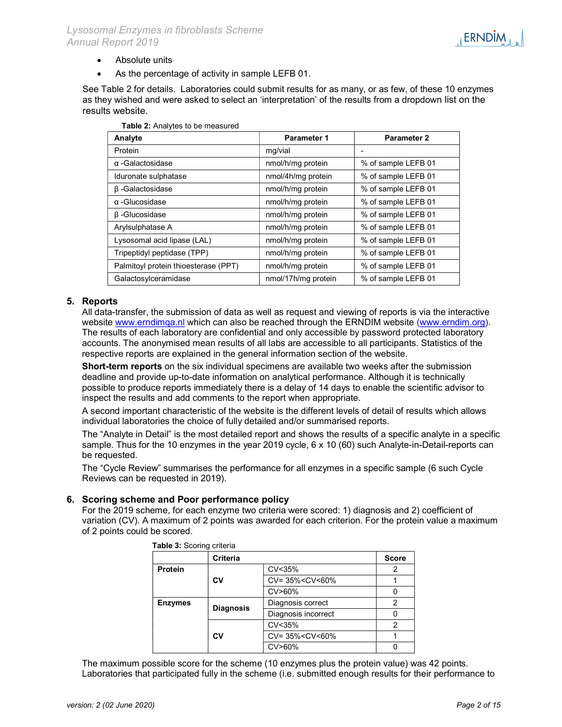- Absolute units
- As the percentage of activity in sample LEFB 01.

See Table 2 for details. Laboratories could submit results for as many, or as few, of these 10 enzymes as they wished and were asked to select an 'interpretation' of the results from a dropdown list on the results website.

| $1.4919$ and $1.4191$ , $1.00$ to be infected on |                     |                     |
|--------------------------------------------------|---------------------|---------------------|
| Analyte                                          | <b>Parameter 1</b>  | <b>Parameter 2</b>  |
| Protein                                          | mg/vial             |                     |
| $\alpha$ -Galactosidase                          | nmol/h/mg protein   | % of sample LEFB 01 |
| Iduronate sulphatase                             | nmol/4h/mg protein  | % of sample LEFB 01 |
| $\beta$ -Galactosidase                           | nmol/h/mg protein   | % of sample LEFB 01 |
| $\alpha$ -Glucosidase                            | nmol/h/mg protein   | % of sample LEFB 01 |
| $\beta$ -Glucosidase                             | nmol/h/mg protein   | % of sample LEFB 01 |
| Arylsulphatase A                                 | nmol/h/mg protein   | % of sample LEFB 01 |
| Lysosomal acid lipase (LAL)                      | nmol/h/mg protein   | % of sample LEFB 01 |
| Tripeptidyl peptidase (TPP)                      | nmol/h/mg protein   | % of sample LEFB 01 |
| Palmitoyl protein thioesterase (PPT)             | nmol/h/mg protein   | % of sample LEFB 01 |
| Galactosylceramidase                             | nmol/17h/mg protein | % of sample LEFB 01 |

|  | Table 2: Analytes to be measured |
|--|----------------------------------|
|  |                                  |

#### 5. Reports

All data-transfer, the submission of data as well as request and viewing of reports is via the interactive website www.erndimqa.nl which can also be reached through the ERNDIM website (www.erndim.org). The results of each laboratory are confidential and only accessible by password protected laboratory accounts. The anonymised mean results of all labs are accessible to all participants. Statistics of the respective reports are explained in the general information section of the website.

Short-term reports on the six individual specimens are available two weeks after the submission deadline and provide up-to-date information on analytical performance. Although it is technically possible to produce reports immediately there is a delay of 14 days to enable the scientific advisor to inspect the results and add comments to the report when appropriate.

A second important characteristic of the website is the different levels of detail of results which allows individual laboratories the choice of fully detailed and/or summarised reports.

The "Analyte in Detail" is the most detailed report and shows the results of a specific analyte in a specific sample. Thus for the 10 enzymes in the year 2019 cycle, 6 x 10 (60) such Analyte-in-Detail-reports can be requested.

The "Cycle Review" summarises the performance for all enzymes in a specific sample (6 such Cycle Reviews can be requested in 2019).

#### 6. Scoring scheme and Poor performance policy

For the 2019 scheme, for each enzyme two criteria were scored: 1) diagnosis and 2) coefficient of variation (CV). A maximum of 2 points was awarded for each criterion. For the protein value a maximum of 2 points could be scored.

|                | Criteria         | <b>Score</b>                               |   |
|----------------|------------------|--------------------------------------------|---|
| <b>Protein</b> |                  | CV<35%                                     |   |
|                | CV               | CV= 35% <cv<60%< td=""><td></td></cv<60%<> |   |
|                |                  | CV>60%                                     |   |
| <b>Enzymes</b> | <b>Diagnosis</b> | Diagnosis correct                          | 2 |
|                |                  | Diagnosis incorrect                        |   |
|                |                  | CV<35%                                     |   |
|                | CV               | CV= 35% <cv<60%< td=""></cv<60%<>          |   |
|                |                  | CV>60%                                     |   |

Table 3: Scoring criteria

The maximum possible score for the scheme (10 enzymes plus the protein value) was 42 points. Laboratories that participated fully in the scheme (i.e. submitted enough results for their performance to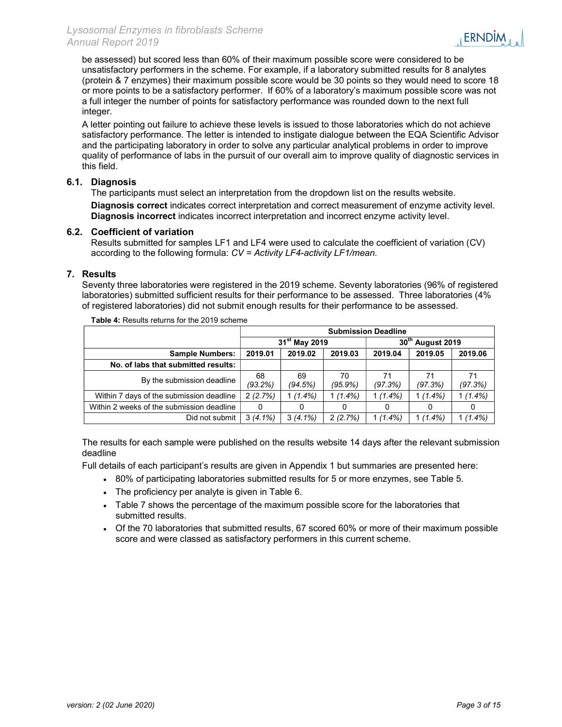be assessed) but scored less than 60% of their maximum possible score were considered to be unsatisfactory performers in the scheme. For example, if a laboratory submitted results for 8 analytes (protein & 7 enzymes) their maximum possible score would be 30 points so they would need to score 18 or more points to be a satisfactory performer. If 60% of a laboratory's maximum possible score was not a full integer the number of points for satisfactory performance was rounded down to the next full integer.

A letter pointing out failure to achieve these levels is issued to those laboratories which do not achieve satisfactory performance. The letter is intended to instigate dialogue between the EQA Scientific Advisor and the participating laboratory in order to solve any particular analytical problems in order to improve quality of performance of labs in the pursuit of our overall aim to improve quality of diagnostic services in this field.

#### 6.1. Diagnosis

The participants must select an interpretation from the dropdown list on the results website. Diagnosis correct indicates correct interpretation and correct measurement of enzyme activity level. Diagnosis incorrect indicates incorrect interpretation and incorrect enzyme activity level.

#### 6.2. Coefficient of variation

Results submitted for samples LF1 and LF4 were used to calculate the coefficient of variation (CV) according to the following formula: CV = Activity LF4-activity LF1/mean.

#### 7. Results

Seventy three laboratories were registered in the 2019 scheme. Seventy laboratories (96% of registered laboratories) submitted sufficient results for their performance to be assessed. Three laboratories (4% of registered laboratories) did not submit enough results for their performance to be assessed.

|                                           | <b>Submission Deadline</b> |                           |                  |               |                                 |               |  |
|-------------------------------------------|----------------------------|---------------------------|------------------|---------------|---------------------------------|---------------|--|
|                                           |                            | 31 <sup>st</sup> May 2019 |                  |               | 30 <sup>th</sup><br>August 2019 |               |  |
| <b>Sample Numbers:</b>                    | 2019.01                    | 2019.02                   | 2019.03          | 2019.04       | 2019.05                         | 2019.06       |  |
| No. of labs that submitted results:       |                            |                           |                  |               |                                 |               |  |
| By the submission deadline                | 68<br>(93.2%)              | 69<br>(94.5%)             | 70<br>$(95.9\%)$ | 71<br>(97.3%) | 71<br>(97.3%)                   | 71<br>(97.3%) |  |
| Within 7 days of the submission deadline  | 2(2.7%)                    | $(1.4\%)$                 | $1(1.4\%)$       | $1(1.4\%)$    | $1(1.4\%)$                      | $1(1.4\%)$    |  |
| Within 2 weeks of the submission deadline | 0                          |                           |                  |               |                                 |               |  |
| Did not submit                            | $3(4.1\%)$                 | $3(4.1\%)$                | 2(2.7%)          | $1(1.4\%)$    | $1(1.4\%)$                      | $1(1.4\%)$    |  |

Table 4: Results returns for the 2019 scheme

The results for each sample were published on the results website 14 days after the relevant submission deadline

Full details of each participant's results are given in Appendix 1 but summaries are presented here:

- 80% of participating laboratories submitted results for 5 or more enzymes, see Table 5.
- The proficiency per analyte is given in Table 6.
- Table 7 shows the percentage of the maximum possible score for the laboratories that submitted results.
- Of the 70 laboratories that submitted results, 67 scored 60% or more of their maximum possible score and were classed as satisfactory performers in this current scheme.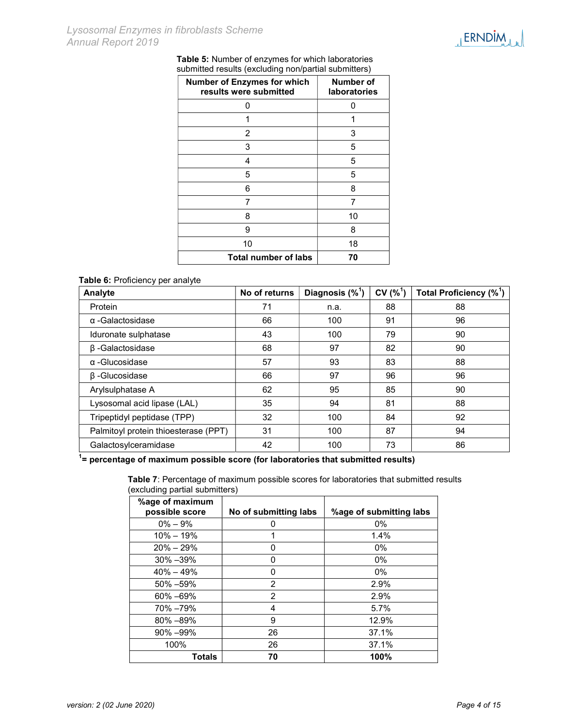

| Table 5: Number of enzymes for which laboratories    |
|------------------------------------------------------|
| submitted results (excluding non/partial submitters) |

| <b>Number of Enzymes for which</b><br>results were submitted | Number of<br><b>laboratories</b> |
|--------------------------------------------------------------|----------------------------------|
| O                                                            | 0                                |
| 1                                                            | 1                                |
| 2                                                            | 3                                |
| 3                                                            | 5                                |
| 4                                                            | 5                                |
| 5                                                            | 5                                |
| 6                                                            | 8                                |
| 7                                                            | 7                                |
| 8                                                            | 10                               |
| 9                                                            | 8                                |
| 10                                                           | 18                               |
| Total number of labs                                         | 70                               |

#### Table 6: Proficiency per analyte

| Analyte                              | No of returns | Diagnosis $(\%^1)$ | CV(% <sup>1</sup> ) | Total Proficiency (% <sup>1</sup> ) |
|--------------------------------------|---------------|--------------------|---------------------|-------------------------------------|
| Protein                              | 71            | n.a.               | 88                  | 88                                  |
| $\alpha$ -Galactosidase              | 66            | 100                | 91                  | 96                                  |
| Iduronate sulphatase                 | 43            | 100                | 79                  | 90                                  |
| $\beta$ -Galactosidase               | 68            | 97                 | 82                  | 90                                  |
| $\alpha$ -Glucosidase                | 57            | 93                 | 83                  | 88                                  |
| $\beta$ -Glucosidase                 | 66            | 97                 | 96                  | 96                                  |
| Arylsulphatase A                     | 62            | 95                 | 85                  | 90                                  |
| Lysosomal acid lipase (LAL)          | 35            | 94                 | 81                  | 88                                  |
| Tripeptidyl peptidase (TPP)          | 32            | 100                | 84                  | 92                                  |
| Palmitoyl protein thioesterase (PPT) | 31            | 100                | 87                  | 94                                  |
| Galactosylceramidase                 | 42            | 100                | 73                  | 86                                  |

 $\frac{1}{1}$  percentage of maximum possible score (for laboratories that submitted results)

Table 7: Percentage of maximum possible scores for laboratories that submitted results (excluding partial submitters)

| %age of maximum<br>possible score | No of submitting labs | %age of submitting labs |
|-----------------------------------|-----------------------|-------------------------|
| $0\% - 9\%$                       | 0                     | $0\%$                   |
| $10\% - 19\%$                     | 1                     | 1.4%                    |
| $20\% - 29\%$                     | 0                     | $0\%$                   |
| $30\% - 39\%$                     | 0                     | $0\%$                   |
| $40\% - 49\%$                     | 0                     | $0\%$                   |
| $50\% - 59\%$                     | 2                     | 2.9%                    |
| 60% -69%                          | 2                     | 2.9%                    |
| 70% –79%                          | 4                     | 5.7%                    |
| 80% -89%                          | 9                     | 12.9%                   |
| $90\% - 99\%$                     | 26                    | 37.1%                   |
| 100%                              | 26                    | 37.1%                   |
| Totals                            | 70                    | 100%                    |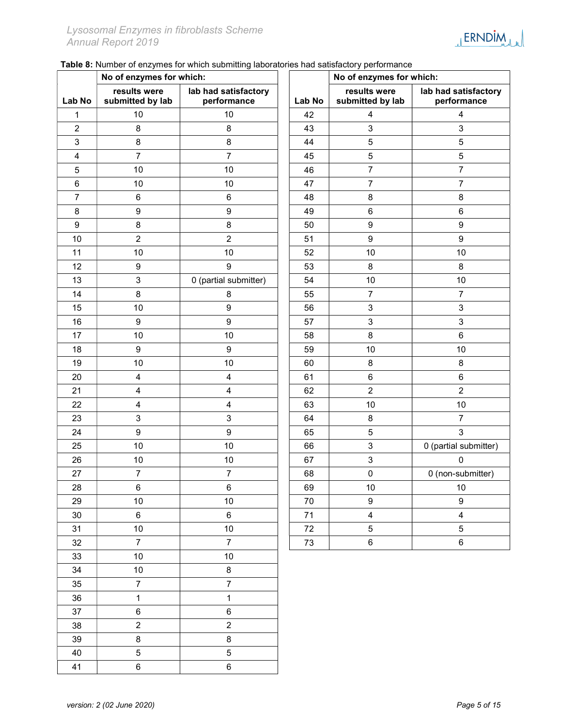| <b>ERNDIM</b> |  |
|---------------|--|
|               |  |
| M M           |  |
|               |  |

Table 8: Number of enzymes for which submitting laboratories had satisfactory performance

| No of enzymes for which: |                                  |                                     | No of enzymes for which: |                                  |                                     |
|--------------------------|----------------------------------|-------------------------------------|--------------------------|----------------------------------|-------------------------------------|
| Lab No                   | results were<br>submitted by lab | lab had satisfactory<br>performance | Lab No                   | results were<br>submitted by lab | lab had satisfactory<br>performance |
| 1                        | 10                               | 10                                  | 42                       | 4                                | 4                                   |
| $\overline{c}$           | 8                                | 8                                   | 43                       | 3                                | $\mathbf{3}$                        |
| 3                        | $\bf 8$                          | 8                                   | 44                       | $\sqrt{5}$                       | $\mathbf 5$                         |
| 4                        | $\overline{7}$                   | $\overline{7}$                      | 45                       | $\mathbf 5$                      | $\mathbf 5$                         |
| $\mathbf 5$              | 10                               | $10$                                | 46                       | $\overline{7}$                   | $\overline{7}$                      |
| $\,6$                    | 10                               | 10                                  | 47                       | $\overline{7}$                   | $\overline{7}$                      |
| $\overline{7}$           | 6                                | $\,6\,$                             | 48                       | 8                                | $\bf 8$                             |
| $\bf 8$                  | $\boldsymbol{9}$                 | $\boldsymbol{9}$                    | 49                       | 6                                | 6                                   |
| $\boldsymbol{9}$         | $\bf 8$                          | $\bf 8$                             | 50                       | 9                                | $\boldsymbol{9}$                    |
| 10                       | $\overline{2}$                   | $\overline{2}$                      | 51                       | 9                                | $\boldsymbol{9}$                    |
| 11                       | 10                               | 10                                  | 52                       | 10                               | 10                                  |
| 12                       | $\boldsymbol{9}$                 | $\boldsymbol{9}$                    | 53                       | 8                                | $\bf 8$                             |
| 13                       | $\sqrt{3}$                       | 0 (partial submitter)               | 54                       | 10                               | 10                                  |
| 14                       | $\bf 8$                          | 8                                   | 55                       | $\overline{7}$                   | $\overline{7}$                      |
| 15                       | 10                               | $\boldsymbol{9}$                    | 56                       | 3                                | $\ensuremath{\mathsf{3}}$           |
| 16                       | $\boldsymbol{9}$                 | $\boldsymbol{9}$                    | 57                       | 3                                | $\mathsf 3$                         |
| 17                       | 10                               | 10                                  | 58                       | 8                                | $\,6\,$                             |
| 18                       | $\boldsymbol{9}$                 | $\boldsymbol{9}$                    | 59                       | 10                               | 10                                  |
| 19                       | 10                               | 10                                  | 60                       | 8                                | 8                                   |
| 20                       | $\overline{\mathbf{4}}$          | $\overline{\mathbf{4}}$             | 61                       | 6                                | $\,6$                               |
| 21                       | $\overline{\mathbf{4}}$          | $\overline{\mathbf{4}}$             | 62                       | $\overline{2}$                   | $\sqrt{2}$                          |
| 22                       | $\overline{\mathbf{4}}$          | $\overline{\mathbf{4}}$             | 63                       | 10                               | $10$                                |
| 23                       | $\ensuremath{\mathsf{3}}$        | $\mathsf 3$                         | 64                       | 8                                | $\overline{7}$                      |
| 24                       | $\boldsymbol{9}$                 | $\boldsymbol{9}$                    | 65                       | $\sqrt{5}$                       | $\mathbf{3}$                        |
| 25                       | 10                               | 10                                  | 66                       | 3                                | 0 (partial submitter)               |
| 26                       | $10$                             | $10$                                | 67                       | 3                                | $\mathbf{0}$                        |
| 27                       | $\overline{7}$                   | $\boldsymbol{7}$                    | 68                       | $\pmb{0}$                        | 0 (non-submitter)                   |
| 28                       | $\,6$                            | $\,6\,$                             | 69                       | $10$                             | $10\,$                              |
| 29                       | $10\,$                           | $10\,$                              | 70                       | 9                                | 9                                   |
| $30\,$                   | $\,6\,$                          | $\,6\,$                             | 71                       | $\overline{\mathbf{4}}$          | $\overline{4}$                      |
| 31                       | $10\,$                           | $10\,$                              | 72                       | 5                                | $\sqrt{5}$                          |
| 32                       | $\overline{7}$                   | $\overline{7}$                      | $73\,$                   | $\,6$                            | $\,6\,$                             |
| 33                       | $10\,$                           | $10\,$                              |                          |                                  |                                     |
| 34                       | $10\,$                           | $\bf 8$                             |                          |                                  |                                     |
| 35                       | $\overline{7}$                   | $\overline{7}$                      |                          |                                  |                                     |
| 36                       | $\mathbf{1}$                     | $\mathbf{1}$                        |                          |                                  |                                     |
| 37                       | $\,6\,$                          | $\,6\,$                             |                          |                                  |                                     |
| 38                       | $\overline{a}$                   | $\overline{2}$                      |                          |                                  |                                     |
| 39                       | 8                                | $\bf 8$                             |                          |                                  |                                     |
| 40                       | $\overline{5}$                   | $\overline{5}$                      |                          |                                  |                                     |
| 41                       | $\,6\,$                          | $6\phantom{a}$                      |                          |                                  |                                     |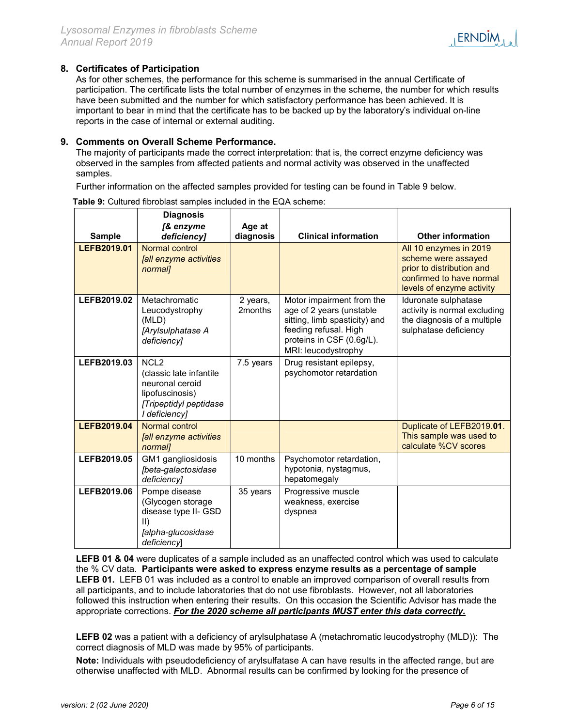

### 8. Certificates of Participation

As for other schemes, the performance for this scheme is summarised in the annual Certificate of participation. The certificate lists the total number of enzymes in the scheme, the number for which results have been submitted and the number for which satisfactory performance has been achieved. It is important to bear in mind that the certificate has to be backed up by the laboratory's individual on-line reports in the case of internal or external auditing.

#### 9. Comments on Overall Scheme Performance.

The majority of participants made the correct interpretation: that is, the correct enzyme deficiency was observed in the samples from affected patients and normal activity was observed in the unaffected samples.

Further information on the affected samples provided for testing can be found in Table 9 below.

|               | <b>Diagnosis</b>                                                                                                             |                     |                                                                                                                                                                     |                                                                                                                                     |
|---------------|------------------------------------------------------------------------------------------------------------------------------|---------------------|---------------------------------------------------------------------------------------------------------------------------------------------------------------------|-------------------------------------------------------------------------------------------------------------------------------------|
| <b>Sample</b> | [& enzyme<br>deficiency]                                                                                                     | Age at<br>diagnosis | <b>Clinical information</b>                                                                                                                                         | <b>Other information</b>                                                                                                            |
| LEFB2019.01   | Normal control<br>[all enzyme activities<br>normal]                                                                          |                     |                                                                                                                                                                     | All 10 enzymes in 2019<br>scheme were assayed<br>prior to distribution and<br>confirmed to have normal<br>levels of enzyme activity |
| LEFB2019.02   | Metachromatic<br>Leucodystrophy<br>(MLD)<br>[Arylsulphatase A<br>deficiency]                                                 | 2 years,<br>2months | Motor impairment from the<br>age of 2 years (unstable<br>sitting, limb spasticity) and<br>feeding refusal. High<br>proteins in CSF (0.6g/L).<br>MRI: leucodystrophy | Iduronate sulphatase<br>activity is normal excluding<br>the diagnosis of a multiple<br>sulphatase deficiency                        |
| LEFB2019.03   | NCL <sub>2</sub><br>(classic late infantile<br>neuronal ceroid<br>lipofuscinosis)<br>[Tripeptidyl peptidase<br>I deficiency] | 7.5 years           | Drug resistant epilepsy,<br>psychomotor retardation                                                                                                                 |                                                                                                                                     |
| LEFB2019.04   | Normal control<br>[all enzyme activities<br>normal]                                                                          |                     |                                                                                                                                                                     | Duplicate of LEFB2019.01.<br>This sample was used to<br>calculate %CV scores                                                        |
| LEFB2019.05   | GM1 gangliosidosis<br>[beta-galactosidase<br>deficiency]                                                                     | 10 months           | Psychomotor retardation,<br>hypotonia, nystagmus,<br>hepatomegaly                                                                                                   |                                                                                                                                     |
| LEFB2019.06   | Pompe disease<br>(Glycogen storage<br>disease type II- GSD<br>$\parallel$<br>[alpha-glucosidase<br>deficiencyl               | 35 years            | Progressive muscle<br>weakness, exercise<br>dyspnea                                                                                                                 |                                                                                                                                     |

Table 9: Cultured fibroblast samples included in the EQA scheme:

LEFB 01 & 04 were duplicates of a sample included as an unaffected control which was used to calculate the % CV data. Participants were asked to express enzyme results as a percentage of sample LEFB 01. LEFB 01 was included as a control to enable an improved comparison of overall results from all participants, and to include laboratories that do not use fibroblasts. However, not all laboratories followed this instruction when entering their results. On this occasion the Scientific Advisor has made the appropriate corrections. For the 2020 scheme all participants MUST enter this data correctly.

LEFB 02 was a patient with a deficiency of arylsulphatase A (metachromatic leucodystrophy (MLD)): The correct diagnosis of MLD was made by 95% of participants.

Note: Individuals with pseudodeficiency of arylsulfatase A can have results in the affected range, but are otherwise unaffected with MLD. Abnormal results can be confirmed by looking for the presence of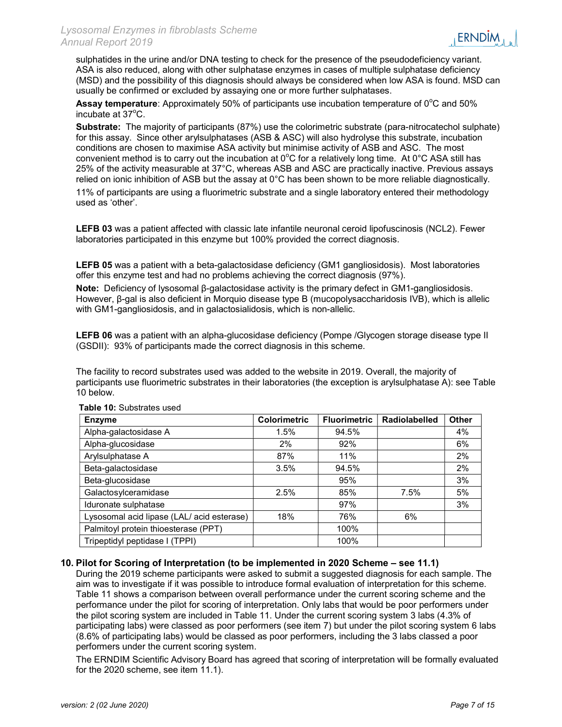sulphatides in the urine and/or DNA testing to check for the presence of the pseudodeficiency variant. ASA is also reduced, along with other sulphatase enzymes in cases of multiple sulphatase deficiency (MSD) and the possibility of this diagnosis should always be considered when low ASA is found. MSD can usually be confirmed or excluded by assaying one or more further sulphatases.

**Assay temperature**: Approximately 50% of participants use incubation temperature of  $0^{\circ}$ C and 50% incubate at  $37^{\circ}$ C.

Substrate: The majority of participants (87%) use the colorimetric substrate (para-nitrocatechol sulphate) for this assay. Since other arylsulphatases (ASB & ASC) will also hydrolyse this substrate, incubation conditions are chosen to maximise ASA activity but minimise activity of ASB and ASC. The most convenient method is to carry out the incubation at  $0^{\circ}$ C for a relatively long time. At  $0^{\circ}$ C ASA still has 25% of the activity measurable at 37°C, whereas ASB and ASC are practically inactive. Previous assays relied on ionic inhibition of ASB but the assay at 0°C has been shown to be more reliable diagnostically.

11% of participants are using a fluorimetric substrate and a single laboratory entered their methodology used as 'other'.

LEFB 03 was a patient affected with classic late infantile neuronal ceroid lipofuscinosis (NCL2). Fewer laboratories participated in this enzyme but 100% provided the correct diagnosis.

LEFB 05 was a patient with a beta-galactosidase deficiency (GM1 gangliosidosis). Most laboratories offer this enzyme test and had no problems achieving the correct diagnosis (97%).

Note: Deficiency of lysosomal β-galactosidase activity is the primary defect in GM1-gangliosidosis. However, β-gal is also deficient in Morquio disease type B (mucopolysaccharidosis IVB), which is allelic with GM1-gangliosidosis, and in galactosialidosis, which is non-allelic.

LEFB 06 was a patient with an alpha-glucosidase deficiency (Pompe /Glycogen storage disease type II (GSDII): 93% of participants made the correct diagnosis in this scheme.

The facility to record substrates used was added to the website in 2019. Overall, the majority of participants use fluorimetric substrates in their laboratories (the exception is arylsulphatase A): see Table 10 below.

| <b>Enzyme</b>                              | <b>Colorimetric</b> | <b>Fluorimetric</b> | <b>Radiolabelled</b> | <b>Other</b> |
|--------------------------------------------|---------------------|---------------------|----------------------|--------------|
| Alpha-galactosidase A                      | 1.5%                | 94.5%               |                      | 4%           |
| Alpha-glucosidase                          | 2%                  | 92%                 |                      | 6%           |
| Arylsulphatase A                           | 87%                 | 11%                 |                      | 2%           |
| Beta-galactosidase                         | 3.5%                | 94.5%               |                      | 2%           |
| Beta-glucosidase                           |                     | 95%                 |                      | 3%           |
| Galactosylceramidase                       | 2.5%                | 85%                 | 7.5%                 | 5%           |
| Iduronate sulphatase                       |                     | 97%                 |                      | 3%           |
| Lysosomal acid lipase (LAL/ acid esterase) | 18%                 | 76%                 | 6%                   |              |
| Palmitoyl protein thioesterase (PPT)       |                     | 100%                |                      |              |
| Tripeptidyl peptidase I (TPPI)             |                     | 100%                |                      |              |

Table 10: Substrates used

#### 10. Pilot for Scoring of Interpretation (to be implemented in 2020 Scheme – see 11.1)

During the 2019 scheme participants were asked to submit a suggested diagnosis for each sample. The aim was to investigate if it was possible to introduce formal evaluation of interpretation for this scheme. Table 11 shows a comparison between overall performance under the current scoring scheme and the performance under the pilot for scoring of interpretation. Only labs that would be poor performers under the pilot scoring system are included in Table 11. Under the current scoring system 3 labs (4.3% of participating labs) were classed as poor performers (see item 7) but under the pilot scoring system 6 labs (8.6% of participating labs) would be classed as poor performers, including the 3 labs classed a poor performers under the current scoring system.

The ERNDIM Scientific Advisory Board has agreed that scoring of interpretation will be formally evaluated for the 2020 scheme, see item 11.1).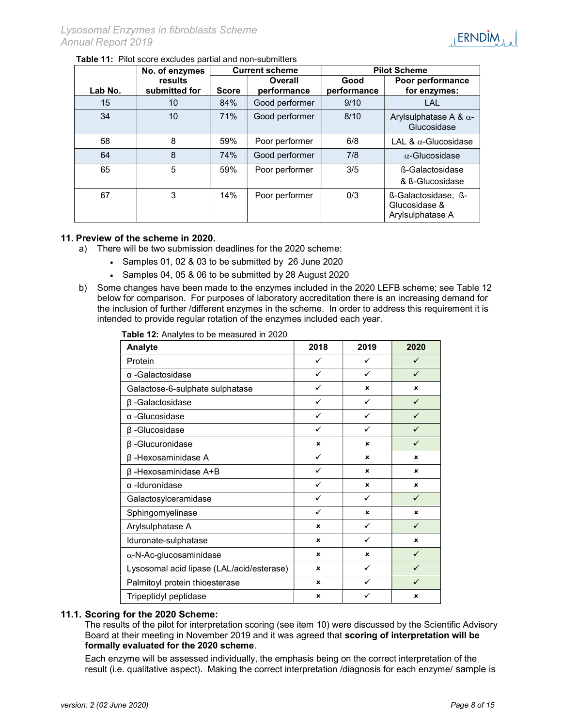

#### Table 11: Pilot score excludes partial and non-submitters

|         | No. of enzymes           |              | <b>Current scheme</b>  |                     | <b>Pilot Scheme</b>                                      |
|---------|--------------------------|--------------|------------------------|---------------------|----------------------------------------------------------|
| Lab No. | results<br>submitted for | <b>Score</b> | Overall<br>performance | Good<br>performance | Poor performance<br>for enzymes:                         |
| 15      | 10                       | 84%          | Good performer         | 9/10                | LAL                                                      |
| 34      | 10                       | 71%          | Good performer         | 8/10                | Arylsulphatase A & $\alpha$ -<br>Glucosidase             |
| 58      | 8                        | 59%          | Poor performer         | 6/8                 | LAL & $\alpha$ -Glucosidase                              |
| 64      | 8                        | 74%          | Good performer         | 7/8                 | $\alpha$ -Glucosidase                                    |
| 65      | 5                        | 59%          | Poor performer         | 3/5                 | ß-Galactosidase<br>& B-Glucosidase                       |
| 67      | 3                        | 14%          | Poor performer         | 0/3                 | ß-Galactosidase, ß-<br>Glucosidase &<br>Arylsulphatase A |

#### 11. Preview of the scheme in 2020.

- a) There will be two submission deadlines for the 2020 scheme:
	- Samples 01, 02 & 03 to be submitted by 26 June 2020
		- Samples 04, 05 & 06 to be submitted by 28 August 2020
- b) Some changes have been made to the enzymes included in the 2020 LEFB scheme; see Table 12 below for comparison. For purposes of laboratory accreditation there is an increasing demand for the inclusion of further /different enzymes in the scheme. In order to address this requirement it is intended to provide regular rotation of the enzymes included each year.

|  | Table 12: Analytes to be measured in 2020 |
|--|-------------------------------------------|
|--|-------------------------------------------|

| Analyte                                   | 2018         | 2019                      | 2020         |
|-------------------------------------------|--------------|---------------------------|--------------|
| Protein                                   | ✓            | $\checkmark$              | $\checkmark$ |
| $\alpha$ -Galactosidase                   | $\checkmark$ | ✓                         | $\checkmark$ |
| Galactose-6-sulphate sulphatase           | $\checkmark$ | $\boldsymbol{\mathsf{x}}$ | ×            |
| $\beta$ -Galactosidase                    | ✓            | ✓                         | ✓            |
| α-Glucosidase                             | ✓            | ✓                         |              |
| $\beta$ -Glucosidase                      | ✓            | ✓                         |              |
| $\beta$ -Glucuronidase                    | $\mathbf{x}$ | ×                         |              |
| $\beta$ -Hexosaminidase A                 | ✓            | $\boldsymbol{\mathsf{x}}$ | ×            |
| $\beta$ -Hexosaminidase A+B               | ✓            | $\boldsymbol{\mathsf{x}}$ | ×            |
| α-Iduronidase                             | ✓            | $\boldsymbol{\mathsf{x}}$ | ×            |
| Galactosylceramidase                      | ✓            | ✓                         | $\checkmark$ |
| Sphingomyelinase                          | ✓            | $\boldsymbol{\mathsf{x}}$ | ×            |
| Arylsulphatase A                          | $\mathbf{x}$ | ✓                         | $\checkmark$ |
| Iduronate-sulphatase                      | ×            | ✓                         | ×            |
| $\alpha$ -N-Ac-glucosaminidase            | ×            | ×                         | $\checkmark$ |
| Lysosomal acid lipase (LAL/acid/esterase) | ×            | ✓                         |              |
| Palmitoyl protein thioesterase            | ×            | ✓                         | ✓            |
| Tripeptidyl peptidase                     | $\mathbf x$  |                           | ×            |

#### 11.1. Scoring for the 2020 Scheme:

The results of the pilot for interpretation scoring (see item 10) were discussed by the Scientific Advisory Board at their meeting in November 2019 and it was agreed that scoring of interpretation will be formally evaluated for the 2020 scheme.

Each enzyme will be assessed individually, the emphasis being on the correct interpretation of the result (i.e. qualitative aspect). Making the correct interpretation /diagnosis for each enzyme/ sample is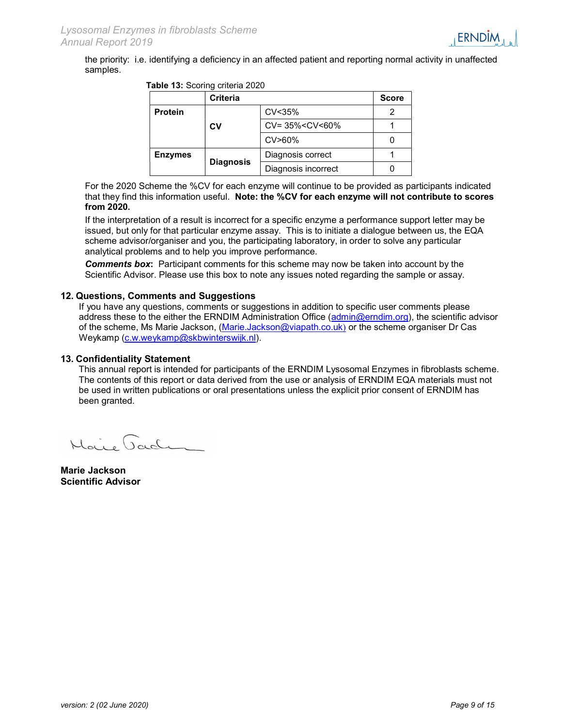the priority: i.e. identifying a deficiency in an affected patient and reporting normal activity in unaffected samples.

|  |  | Table 13: Scoring criteria 2020 |  |
|--|--|---------------------------------|--|
|--|--|---------------------------------|--|

|                | Criteria         |                                            | <b>Score</b> |
|----------------|------------------|--------------------------------------------|--------------|
| <b>Protein</b> |                  | CV<35%                                     |              |
|                | CV               | CV= 35% <cv<60%< td=""><td></td></cv<60%<> |              |
|                |                  | $CV > 60\%$                                |              |
| <b>Enzymes</b> |                  | Diagnosis correct                          |              |
|                | <b>Diagnosis</b> | Diagnosis incorrect                        |              |

For the 2020 Scheme the %CV for each enzyme will continue to be provided as participants indicated that they find this information useful. Note: the %CV for each enzyme will not contribute to scores from 2020.

If the interpretation of a result is incorrect for a specific enzyme a performance support letter may be issued, but only for that particular enzyme assay. This is to initiate a dialogue between us, the EQA scheme advisor/organiser and you, the participating laboratory, in order to solve any particular analytical problems and to help you improve performance.

**Comments box:** Participant comments for this scheme may now be taken into account by the Scientific Advisor. Please use this box to note any issues noted regarding the sample or assay.

#### 12. Questions, Comments and Suggestions

If you have any questions, comments or suggestions in addition to specific user comments please address these to the either the ERNDIM Administration Office (admin@erndim.org), the scientific advisor of the scheme, Ms Marie Jackson, (Marie.Jackson@viapath.co.uk) or the scheme organiser Dr Cas Weykamp (c.w.weykamp@skbwinterswijk.nl).

#### 13. Confidentiality Statement

This annual report is intended for participants of the ERNDIM Lysosomal Enzymes in fibroblasts scheme. The contents of this report or data derived from the use or analysis of ERNDIM EQA materials must not be used in written publications or oral presentations unless the explicit prior consent of ERNDIM has been granted.

Maire Jaden

Marie Jackson Scientific Advisor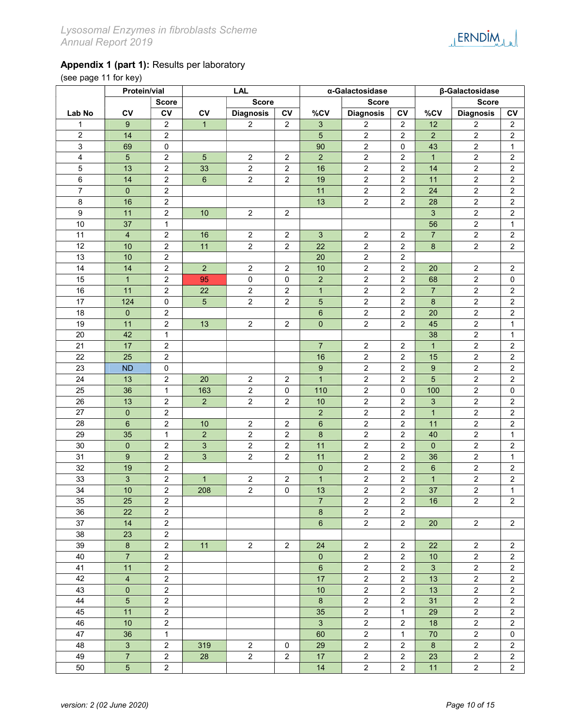

(see page 11 for key)

|                  | Protein/vial    |                  |                | <b>LAL</b>       |                         |                  | α-Galactosidase  |                  | β-Galactosidase           |                  |                         |
|------------------|-----------------|------------------|----------------|------------------|-------------------------|------------------|------------------|------------------|---------------------------|------------------|-------------------------|
|                  |                 | <b>Score</b>     |                | <b>Score</b>     |                         |                  | <b>Score</b>     |                  |                           | <b>Score</b>     |                         |
| Lab No           | CV              | c <sub>V</sub>   | CV             | <b>Diagnosis</b> | CV                      | %CV              | <b>Diagnosis</b> | <b>CV</b>        | %CV                       | <b>Diagnosis</b> | CV                      |
| $\mathbf{1}$     | 9               | $\overline{2}$   | $\mathbf{1}$   | $\overline{2}$   | 2                       | 3                | 2                | $\overline{2}$   | 12                        | $\overline{c}$   | $\overline{c}$          |
| $\overline{2}$   | 14              | $\overline{2}$   |                |                  |                         | 5                | $\overline{2}$   | $\overline{2}$   | $\overline{2}$            | $\overline{2}$   | $\mathbf 2$             |
| $\overline{3}$   | 69              | $\pmb{0}$        |                |                  |                         | 90               | $\overline{2}$   | $\mathbf 0$      | 43                        | $\overline{2}$   | $\mathbf{1}$            |
| $\overline{4}$   | $\overline{5}$  | $\mathbf 2$      | $\overline{5}$ | $\overline{2}$   | $\overline{2}$          | $\overline{2}$   | $\overline{a}$   | $\overline{2}$   | $\mathbf{1}$              | $\overline{2}$   | $\mathbf 2$             |
| 5                | 13              | $\overline{c}$   | 33             | $\overline{2}$   | $\overline{2}$          | 16               | $\overline{c}$   | $\overline{2}$   | 14                        | $\overline{2}$   | $\boldsymbol{2}$        |
| 6                | $\overline{14}$ | $\overline{2}$   | $\overline{6}$ | $\overline{2}$   | $\overline{c}$          | 19               | $\overline{c}$   | $\overline{2}$   | 11                        | $\overline{c}$   | $\boldsymbol{2}$        |
| $\overline{7}$   | $\pmb{0}$       | $\overline{c}$   |                |                  |                         | 11               | $\overline{c}$   | $\overline{2}$   | 24                        | $\overline{c}$   | $\overline{c}$          |
| 8                | 16              | $\mathbf 2$      |                |                  |                         | 13               | $\overline{c}$   | $\overline{2}$   | 28                        | $\overline{c}$   | $\overline{\mathbf{c}}$ |
| $\boldsymbol{9}$ | 11              | $\mathbf 2$      | 10             | $\overline{2}$   | $\overline{2}$          |                  |                  |                  | $\mathfrak{S}$            | $\overline{2}$   | $\overline{\mathbf{c}}$ |
| 10               | 37              | $\mathbf 1$      |                |                  |                         |                  |                  |                  | 56                        | $\overline{c}$   | $\mathbf{1}$            |
| 11               | $\overline{4}$  | $\boldsymbol{2}$ | 16             | $\overline{2}$   | $\overline{2}$          | $\overline{3}$   | $\overline{2}$   | $\overline{2}$   | $\overline{7}$            | $\overline{2}$   | $\boldsymbol{2}$        |
| 12               | 10              | $\overline{c}$   | 11             | $\overline{2}$   | $\overline{2}$          | 22               | $\overline{c}$   | $\overline{2}$   | $\bf 8$                   | $\overline{2}$   | $\boldsymbol{2}$        |
| 13               | 10              | $\mathbf 2$      |                |                  |                         | 20               | $\overline{c}$   | $\overline{2}$   |                           |                  |                         |
| 14               | 14              | $\overline{c}$   | $\overline{2}$ | $\overline{2}$   | $\overline{2}$          | 10               | $\overline{c}$   | $\overline{2}$   | 20                        | $\overline{c}$   | $\sqrt{2}$              |
| 15               | $\mathbf{1}$    | $\mathbf 2$      | 95             | $\pmb{0}$        | $\mathbf 0$             | $\overline{a}$   | $\overline{c}$   | $\overline{2}$   | 68                        | $\sqrt{2}$       | $\mathbf 0$             |
| 16               | 11              | $\overline{2}$   | 22             | $\overline{2}$   | $\overline{2}$          | $\overline{1}$   | $\overline{2}$   | $\overline{2}$   | $\overline{7}$            | $\sqrt{2}$       | $\boldsymbol{2}$        |
| 17               | 124             | $\mathbf 0$      | $\overline{5}$ | $\overline{2}$   | $\overline{2}$          | 5                | $\overline{c}$   | $\overline{2}$   | $\bf 8$                   | $\sqrt{2}$       | $\boldsymbol{2}$        |
| 18               | $\mathbf 0$     | $\overline{2}$   |                |                  |                         | 6                | $\overline{c}$   | $\overline{2}$   | 20                        | $\sqrt{2}$       | $\sqrt{2}$              |
| 19               | 11              | $\overline{2}$   | 13             | $\overline{2}$   | $\overline{c}$          | $\pmb{0}$        | $\overline{c}$   | $\overline{2}$   | 45                        | $\sqrt{2}$       | $\mathbf{1}$            |
| 20               | 42              | $\mathbf{1}$     |                |                  |                         |                  |                  |                  | 38                        | $\sqrt{2}$       | 1                       |
| 21               | $\overline{17}$ | $\overline{a}$   |                |                  |                         | $\overline{7}$   | $\sqrt{2}$       | $\overline{2}$   | $\mathbf{1}$              | $\overline{2}$   | $\sqrt{2}$              |
| $\overline{22}$  | 25              | $\overline{2}$   |                |                  |                         | 16               | $\overline{2}$   | $\overline{2}$   | 15                        | $\overline{2}$   | $\boldsymbol{2}$        |
| 23               | <b>ND</b>       | $\mathbf 0$      |                |                  |                         | $\boldsymbol{9}$ | $\overline{c}$   | $\boldsymbol{2}$ | $\boldsymbol{9}$          | $\sqrt{2}$       | $\boldsymbol{2}$        |
| 24               | 13              | $\overline{2}$   | 20             | $\overline{2}$   | $\sqrt{2}$              | $\mathbf{1}$     | $\overline{c}$   | $\overline{2}$   | 5                         | $\boldsymbol{2}$ | $\boldsymbol{2}$        |
| 25               | 36              | $\mathbf{1}$     | 163            | $\overline{2}$   | $\pmb{0}$               | 110              | $\overline{a}$   | 0                | 100                       | $\sqrt{2}$       | 0                       |
| 26               | 13              | $\overline{2}$   | $\overline{2}$ | $\boldsymbol{2}$ | $\overline{2}$          | 10               | $\sqrt{2}$       | $\overline{2}$   | $\ensuremath{\mathsf{3}}$ | $\sqrt{2}$       | $\overline{2}$          |
| 27               | $\mathbf{0}$    | $\overline{2}$   |                |                  |                         | $\overline{a}$   | $\sqrt{2}$       | $\overline{2}$   | $\mathbf{1}$              | $\sqrt{2}$       | $\boldsymbol{2}$        |
| 28               | 6               | $\overline{2}$   | 10             | $\boldsymbol{2}$ | 2                       | $\,6$            | $\sqrt{2}$       | $\overline{2}$   | 11                        | $\sqrt{2}$       | $\sqrt{2}$              |
| 29               | 35              | $\mathbf{1}$     | $\overline{2}$ | $\boldsymbol{2}$ | $\overline{\mathbf{c}}$ | $\bf8$           | $\sqrt{2}$       | $\overline{2}$   | 40                        | $\sqrt{2}$       | $\mathbf 1$             |
| 30               | $\mathbf{0}$    | $\overline{2}$   | $\overline{3}$ | $\overline{2}$   | $\overline{c}$          | 11               | $\sqrt{2}$       | $\overline{2}$   | $\mathbf{0}$              | $\sqrt{2}$       | $\sqrt{2}$              |
| 31               | 9               | $\overline{2}$   | 3 <sup>1</sup> | $\overline{2}$   | $\overline{2}$          | 11               | $\overline{2}$   | $\overline{2}$   | 36                        | $\overline{2}$   | $\mathbf{1}$            |
| 32               | 19              | $\overline{2}$   |                |                  |                         | $\pmb{0}$        | $\overline{2}$   | $\overline{2}$   | $6\phantom{1}6$           | $\overline{2}$   | $\sqrt{2}$              |
| 33               | $\mathfrak{S}$  | $\overline{2}$   | $\mathbf{1}$   | $\boldsymbol{2}$ | $\overline{c}$          | $\mathbf{1}$     | $\overline{c}$   | $\overline{2}$   | $\mathbf{1}$              | $\overline{2}$   | $\boldsymbol{2}$        |
| 34               | 10              | $\overline{2}$   | 208            | $\overline{2}$   | 0                       | 13               | $\overline{c}$   | $\overline{2}$   | 37                        | $\overline{2}$   | $\mathbf{1}$            |
| 35               | 25              | $\overline{2}$   |                |                  |                         | 7                | $\overline{a}$   | $\overline{2}$   | 16                        | $\overline{2}$   | 2                       |
| 36               | 22              | $\overline{2}$   |                |                  |                         | $\bf 8$          | $\overline{2}$   | $\overline{2}$   |                           |                  |                         |
| 37               | 14              | $\overline{2}$   |                |                  |                         | $6\phantom{.}$   | $\overline{2}$   | $\overline{2}$   | 20                        | $\overline{2}$   | $\overline{2}$          |
| 38               | 23              | $\overline{2}$   |                |                  |                         |                  |                  |                  |                           |                  |                         |
| 39               | $\bf 8$         | $\overline{2}$   | 11             | $\overline{2}$   | $\mathbf{2}$            | 24               | $\overline{2}$   | $\mathbf{2}$     | 22                        | $\overline{a}$   | $\overline{2}$          |
| 40               | $\overline{7}$  | $\overline{2}$   |                |                  |                         | $\pmb{0}$        | $\overline{a}$   | $\overline{2}$   | $10$                      | $\overline{2}$   | $\overline{c}$          |
| 41               | 11              | $\overline{2}$   |                |                  |                         | $6\phantom{a}$   | $\overline{a}$   | $\overline{2}$   | $\overline{3}$            | $\overline{a}$   | $\overline{c}$          |
| 42               | $\overline{4}$  | $\overline{2}$   |                |                  |                         | 17               | $\overline{a}$   | $\overline{2}$   | 13                        | $\overline{2}$   | $\overline{2}$          |
| 43               | $\pmb{0}$       | $\overline{2}$   |                |                  |                         | $10$             | $\overline{2}$   | $\overline{2}$   | 13                        | $\overline{2}$   | $\overline{2}$          |
| 44               | $\overline{5}$  | $\overline{2}$   |                |                  |                         | $\bf8$           | $\overline{2}$   | $\overline{2}$   | 31                        | $\overline{2}$   | $\overline{2}$          |
| 45               | 11              | $\overline{2}$   |                |                  |                         | 35               | $\overline{2}$   | $\mathbf{1}$     | 29                        | $\overline{2}$   | $\overline{2}$          |
| 46               | 10              | $\overline{2}$   |                |                  |                         | $\overline{3}$   | $\overline{a}$   | $\overline{2}$   | 18                        | $\overline{2}$   | $\mathbf{2}$            |
| 47               | 36              | $\mathbf 1$      |                |                  |                         | 60               | $\overline{a}$   | $\mathbf{1}$     | 70                        | $\overline{2}$   | $\mathbf 0$             |
| 48               | $\overline{3}$  | $\overline{2}$   | 319            | $\overline{2}$   | $\mathbf 0$             | 29               | $\overline{a}$   | $\overline{2}$   | $\bf{8}$                  | $\overline{2}$   | $\overline{2}$          |
| 49               | $\overline{7}$  | $\overline{2}$   | 28             | $\overline{2}$   | $\overline{2}$          | 17               | $\overline{2}$   | $\overline{c}$   | 23                        | $\overline{2}$   | $\overline{2}$          |
| 50               | 5 <sup>5</sup>  | $\overline{2}$   |                |                  |                         | 14               | $\overline{2}$   | $\overline{2}$   | 11                        | $\overline{2}$   | $\overline{2}$          |

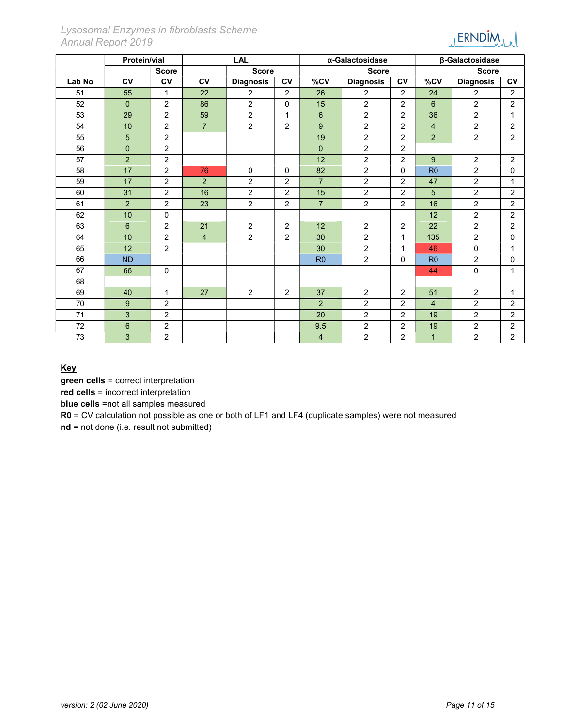Lysosomal Enzymes in fibroblasts Scheme Annual Report 2019



|        | Protein/vial   |                |                | <b>LAL</b>       |                |                | α-Galactosidase  |                |                | β-Galactosidase  |                |  |
|--------|----------------|----------------|----------------|------------------|----------------|----------------|------------------|----------------|----------------|------------------|----------------|--|
|        |                | <b>Score</b>   |                | <b>Score</b>     |                |                | <b>Score</b>     |                |                | <b>Score</b>     |                |  |
| Lab No | <b>CV</b>      | c <sub>V</sub> | <b>CV</b>      | <b>Diagnosis</b> | <b>CV</b>      | %CV            | <b>Diagnosis</b> | $c_{V}$        | %CV            | <b>Diagnosis</b> | <b>CV</b>      |  |
| 51     | 55             | $\mathbf{1}$   | 22             | $\overline{2}$   | 2              | 26             | $\overline{2}$   | $\overline{2}$ | 24             | $\overline{2}$   | 2              |  |
| 52     | $\Omega$       | $\overline{2}$ | 86             | $\overline{2}$   | $\mathbf{0}$   | 15             | $\overline{2}$   | $\overline{2}$ | 6              | $\overline{2}$   | $\overline{2}$ |  |
| 53     | 29             | $\overline{2}$ | 59             | $\overline{2}$   | $\mathbf{1}$   | $6\phantom{1}$ | $\overline{2}$   | 2              | 36             | 2                | $\mathbf{1}$   |  |
| 54     | 10             | $\overline{2}$ | $\overline{7}$ | $\overline{2}$   | 2              | 9              | $\overline{2}$   | 2              | $\overline{4}$ | $\overline{2}$   | 2              |  |
| 55     | 5              | $\overline{2}$ |                |                  |                | 19             | $\overline{2}$   | 2              | $\overline{2}$ | $\overline{2}$   | 2              |  |
| 56     | $\mathbf{0}$   | $\overline{2}$ |                |                  |                | $\mathbf{0}$   | $\overline{2}$   | $\overline{2}$ |                |                  |                |  |
| 57     | $\overline{2}$ | $\overline{2}$ |                |                  |                | 12             | $\overline{2}$   | 2              | 9              | $\overline{2}$   | 2              |  |
| 58     | 17             | $\overline{2}$ | 76             | $\mathbf 0$      | $\mathbf 0$    | 82             | $\overline{2}$   | $\Omega$       | R <sub>0</sub> | $\overline{2}$   | 0              |  |
| 59     | 17             | $\overline{2}$ | 2 <sup>1</sup> | $\overline{2}$   | 2              | $\overline{7}$ | $\overline{c}$   | $\overline{2}$ | 47             | $\overline{2}$   | $\mathbf{1}$   |  |
| 60     | 31             | $\overline{2}$ | 16             | $\overline{2}$   | $\overline{2}$ | 15             | $\overline{2}$   | 2              | 5              | $\overline{2}$   | $\overline{c}$ |  |
| 61     | 2              | $\overline{2}$ | 23             | $\overline{2}$   | 2              | $\overline{7}$ | $\overline{2}$   | 2              | 16             | $\overline{2}$   | 2              |  |
| 62     | 10             | 0              |                |                  |                |                |                  |                | 12             | $\overline{2}$   | $\overline{2}$ |  |
| 63     | 6              | $\overline{2}$ | 21             | $\overline{2}$   | 2              | 12             | $\overline{2}$   | 2              | 22             | $\overline{2}$   | 2              |  |
| 64     | 10             | $\overline{2}$ | $\overline{4}$ | $\overline{2}$   | $\overline{2}$ | 30             | $\overline{c}$   | $\mathbf{1}$   | 135            | $\overline{2}$   | $\mathbf 0$    |  |
| 65     | 12             | $\overline{2}$ |                |                  |                | 30             | $\overline{c}$   | $\mathbf{1}$   | 46             | $\mathsf 0$      | 1              |  |
| 66     | <b>ND</b>      |                |                |                  |                | R <sub>0</sub> | $\overline{c}$   | $\mathbf 0$    | R <sub>0</sub> | $\overline{2}$   | 0              |  |
| 67     | 66             | $\mathbf 0$    |                |                  |                |                |                  |                | 44             | $\mathbf 0$      | $\mathbf{1}$   |  |
| 68     |                |                |                |                  |                |                |                  |                |                |                  |                |  |
| 69     | 40             | $\mathbf{1}$   | 27             | $\overline{2}$   | 2              | 37             | $\overline{c}$   | 2              | 51             | $\overline{2}$   | $\mathbf{1}$   |  |
| 70     | 9              | $\overline{2}$ |                |                  |                | 2              | $\overline{2}$   | 2              | $\overline{4}$ | 2                | 2              |  |
| 71     | 3              | $\overline{2}$ |                |                  |                | 20             | $\overline{c}$   | $\overline{2}$ | 19             | $\overline{a}$   | $\overline{2}$ |  |
| 72     | $\,6$          | $\overline{2}$ |                |                  |                | 9.5            | $\overline{c}$   | $\overline{2}$ | 19             | $\overline{2}$   | 2              |  |
| 73     | 3              | $\overline{2}$ |                |                  |                | 4              | $\overline{2}$   | $\overline{2}$ | $\mathbf{1}$   | $\overline{2}$   | $\overline{2}$ |  |

Key

green cells = correct interpretation

red cells = incorrect interpretation

blue cells =not all samples measured

R0 = CV calculation not possible as one or both of LF1 and LF4 (duplicate samples) were not measured

nd = not done (i.e. result not submitted)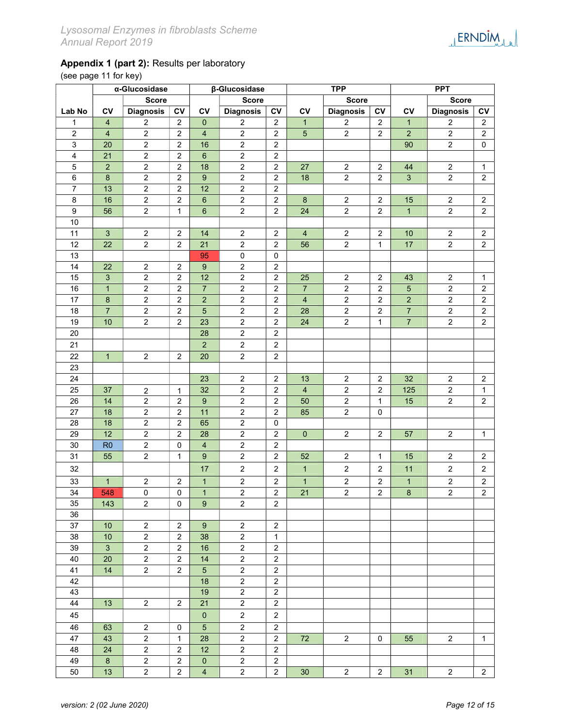## Appendix 1 (part 2): Results per laboratory

(see page 11 for key)

|                         | α-Glucosidase             |                  |                  |                  | β-Glucosidase    |                | <b>TPP</b>              |                         |                  | <b>PPT</b>     |                  |                         |
|-------------------------|---------------------------|------------------|------------------|------------------|------------------|----------------|-------------------------|-------------------------|------------------|----------------|------------------|-------------------------|
|                         |                           | <b>Score</b>     |                  | <b>Score</b>     |                  |                | <b>Score</b>            |                         |                  |                | <b>Score</b>     |                         |
| Lab No                  | <b>CV</b>                 | <b>Diagnosis</b> | CV               | <b>CV</b>        | <b>Diagnosis</b> | CV             | CV                      | <b>Diagnosis</b>        | <b>CV</b>        | CV             | <b>Diagnosis</b> | <b>CV</b>               |
| $\mathbf{1}$            | $\overline{4}$            | $\overline{c}$   | $\overline{2}$   | $\mathbf{0}$     | $\overline{c}$   | $\overline{2}$ | $\mathbf{1}$            | $\overline{c}$          | $\overline{2}$   | $\mathbf{1}$   | $\boldsymbol{2}$ | $\mathbf{2}$            |
| $\overline{c}$          | $\overline{\mathbf{4}}$   | $\overline{2}$   | $\overline{2}$   | $\overline{4}$   | $\overline{2}$   | $\overline{2}$ | $\overline{5}$          | $\overline{2}$          | $\overline{2}$   | $\overline{2}$ | $\overline{2}$   | $\overline{2}$          |
| $\mathsf 3$             | 20                        | $\overline{2}$   | $\overline{2}$   | 16               | $\overline{2}$   | $\overline{2}$ |                         |                         |                  | 90             | $\overline{2}$   | $\mathbf 0$             |
| $\overline{\mathbf{4}}$ | 21                        | $\overline{2}$   | $\overline{c}$   | $\boldsymbol{6}$ | $\overline{2}$   | $\sqrt{2}$     |                         |                         |                  |                |                  |                         |
| $\mathbf 5$             | $\overline{2}$            | $\mathbf 2$      | $\sqrt{2}$       | 18               | $\mathbf 2$      | $\sqrt{2}$     | 27                      | $\boldsymbol{2}$        | $\sqrt{2}$       | 44             | $\overline{2}$   | $\mathbf{1}$            |
| $\,6$                   | $\bf 8$                   | $\mathbf 2$      | $\overline{2}$   | 9                | $\mathbf 2$      | $\sqrt{2}$     | 18                      | $\overline{2}$          | $\overline{2}$   | $\overline{3}$ | $\overline{2}$   | $\sqrt{2}$              |
| $\overline{7}$          | 13                        | $\boldsymbol{2}$ | $\overline{c}$   | 12               | $\boldsymbol{2}$ | $\sqrt{2}$     |                         |                         |                  |                |                  |                         |
| 8                       | 16                        | $\boldsymbol{2}$ | $\overline{c}$   | $6\phantom{1}$   | $\overline{2}$   | $\sqrt{2}$     | $\bf 8$                 | $\overline{c}$          | $\sqrt{2}$       | 15             | $\overline{c}$   | $\overline{2}$          |
| $\boldsymbol{9}$        | 56                        | $\overline{c}$   | $\mathbf{1}$     | $\,6\,$          | $\overline{2}$   | $\sqrt{2}$     | 24                      | $\overline{c}$          | $\sqrt{2}$       | $\mathbf{1}$   | $\overline{2}$   | $\overline{c}$          |
| $10\,$                  |                           |                  |                  |                  |                  |                |                         |                         |                  |                |                  |                         |
| 11                      | $\mathbf{3}$              | $\overline{c}$   | $\overline{2}$   | 14               | $\boldsymbol{2}$ | 2              | $\overline{4}$          | $\sqrt{2}$              | $\overline{2}$   | 10             | $\overline{c}$   | $\overline{2}$          |
| 12                      | 22                        | $\boldsymbol{2}$ | $\overline{2}$   | 21               | $\boldsymbol{2}$ | $\sqrt{2}$     | 56                      | $\overline{a}$          | $\mathbf{1}$     | 17             | $\overline{2}$   | $\overline{c}$          |
| 13                      |                           |                  |                  | 95               | $\pmb{0}$        | 0              |                         |                         |                  |                |                  |                         |
| 14                      | 22                        | $\sqrt{2}$       | $\sqrt{2}$       | 9                | $\boldsymbol{2}$ | $\sqrt{2}$     |                         |                         |                  |                |                  |                         |
| 15                      | $\ensuremath{\mathsf{3}}$ | $\overline{c}$   | $\sqrt{2}$       | 12               | $\boldsymbol{2}$ | $\sqrt{2}$     | 25                      | $\boldsymbol{2}$        | $\sqrt{2}$       | 43             | $\overline{c}$   | 1                       |
| 16                      | $\mathbf{1}$              | $\boldsymbol{2}$ | $\overline{c}$   | $\overline{7}$   | $\boldsymbol{2}$ | $\sqrt{2}$     | $\overline{7}$          | $\boldsymbol{2}$        | $\overline{2}$   | $\sqrt{5}$     | $\boldsymbol{2}$ | $\sqrt{2}$              |
| 17                      | $\bf 8$                   | $\boldsymbol{2}$ | $\sqrt{2}$       | $\overline{c}$   | $\boldsymbol{2}$ | $\sqrt{2}$     | $\overline{\mathbf{4}}$ | $\boldsymbol{2}$        | $\sqrt{2}$       | $\overline{2}$ | $\boldsymbol{2}$ | $\overline{2}$          |
| 18                      | $\overline{7}$            | $\overline{c}$   | $\boldsymbol{2}$ | $\overline{5}$   | $\boldsymbol{2}$ | $\sqrt{2}$     | 28                      | $\overline{c}$          | $\sqrt{2}$       | $\overline{7}$ | $\boldsymbol{2}$ | $\overline{c}$          |
| 19                      | 10                        | $\boldsymbol{2}$ | $\overline{2}$   | 23               | $\boldsymbol{2}$ | $\sqrt{2}$     | 24                      | $\boldsymbol{2}$        | 1                | $\overline{7}$ | $\boldsymbol{2}$ | $\overline{\mathbf{c}}$ |
| 20                      |                           |                  |                  | 28               | $\boldsymbol{2}$ | $\overline{2}$ |                         |                         |                  |                |                  |                         |
| 21                      |                           |                  |                  | $\overline{2}$   | $\overline{2}$   | $\overline{a}$ |                         |                         |                  |                |                  |                         |
| 22                      | $\overline{1}$            | $\overline{2}$   | $\overline{2}$   | 20               | $\overline{2}$   | $\overline{2}$ |                         |                         |                  |                |                  |                         |
| 23                      |                           |                  |                  |                  |                  |                |                         |                         |                  |                |                  |                         |
| 24                      |                           |                  |                  | 23               | $\overline{2}$   | $\overline{2}$ | 13                      | $\overline{2}$          | $\overline{2}$   | 32             | $\overline{2}$   | $\sqrt{2}$              |
| 25                      | 37                        | $\boldsymbol{2}$ | $\mathbf{1}$     | 32               | $\boldsymbol{2}$ | $\overline{2}$ | $\overline{4}$          | $\overline{2}$          | $\overline{2}$   | 125            | $\overline{2}$   | $\mathbf{1}$            |
| 26                      | 14                        | $\boldsymbol{2}$ | $\overline{c}$   | 9                | $\boldsymbol{2}$ | $\sqrt{2}$     | 50                      | $\overline{c}$          | $\mathbf{1}$     | 15             | $\overline{2}$   | $\overline{2}$          |
| 27                      | 18                        | $\boldsymbol{2}$ | $\overline{c}$   | 11               | $\boldsymbol{2}$ | $\overline{2}$ | 85                      | $\overline{a}$          | $\mathbf 0$      |                |                  |                         |
| 28                      | 18                        | $\overline{2}$   | $\overline{c}$   | 65               | $\overline{2}$   | 0              |                         |                         |                  |                |                  |                         |
| 29                      | 12                        | $\overline{2}$   | $\overline{2}$   | 28               | $\boldsymbol{2}$ | $\overline{2}$ | $\mathbf 0$             | $\overline{a}$          | $\overline{2}$   | 57             | $\overline{2}$   | 1                       |
| 30                      | R <sub>0</sub>            | $\boldsymbol{2}$ | $\mathbf 0$      | $\overline{4}$   | $\boldsymbol{2}$ | $\sqrt{2}$     |                         |                         |                  |                |                  |                         |
| 31                      | 55                        | $\boldsymbol{2}$ | $\mathbf{1}$     | $9\,$            | $\boldsymbol{2}$ | $\sqrt{2}$     | 52                      | $\boldsymbol{2}$        | $\mathbf{1}$     | 15             | $\overline{2}$   | $\overline{2}$          |
| 32                      |                           |                  |                  | 17               | $\overline{c}$   | $\overline{c}$ | $\mathbf{1}$            | $\overline{2}$          | $\overline{2}$   | 11             | $\overline{2}$   | $\overline{2}$          |
| 33                      | $\mathbf{1}$              | $\boldsymbol{2}$ | $\boldsymbol{2}$ | $\mathbf{1}$     | $\boldsymbol{2}$ | $\sqrt{2}$     | $\mathbf{1}$            | $\boldsymbol{2}$        | $\boldsymbol{2}$ | $\mathbf{1}$   | $\overline{c}$   | $\sqrt{2}$              |
| 34                      | 548                       | $\mathbf 0$      | 0                | $\mathbf{1}$     | $\overline{2}$   | $\sqrt{2}$     | 21                      | $\overline{\mathbf{c}}$ | $\overline{c}$   | $\bf 8$        | $\overline{2}$   | $\overline{c}$          |
| 35                      | 143                       | $\overline{c}$   | 0                | $\boldsymbol{9}$ | $\overline{c}$   | $\sqrt{2}$     |                         |                         |                  |                |                  |                         |
| 36                      |                           |                  |                  |                  |                  |                |                         |                         |                  |                |                  |                         |
| 37                      | 10                        | $\sqrt{2}$       | $\overline{2}$   | 9                | $\overline{c}$   | $\overline{2}$ |                         |                         |                  |                |                  |                         |
| 38                      | 10                        | $\sqrt{2}$       | $\overline{2}$   | 38               | $\overline{c}$   | $\mathbf{1}$   |                         |                         |                  |                |                  |                         |
| 39                      | $\overline{3}$            | $\boldsymbol{2}$ | $\overline{2}$   | 16               | $\boldsymbol{2}$ | $\sqrt{2}$     |                         |                         |                  |                |                  |                         |
| 40                      | 20                        | $\overline{2}$   | $\overline{2}$   | 14               | $\overline{2}$   | $\sqrt{2}$     |                         |                         |                  |                |                  |                         |
| 41                      | 14                        | $\overline{2}$   | $\overline{2}$   | $\sqrt{5}$       | $\overline{2}$   | $\sqrt{2}$     |                         |                         |                  |                |                  |                         |
| 42                      |                           |                  |                  | 18               | $\overline{2}$   | $\overline{2}$ |                         |                         |                  |                |                  |                         |
| 43                      |                           |                  |                  | 19               | $\overline{2}$   | $\overline{2}$ |                         |                         |                  |                |                  |                         |
| 44                      | 13                        | $\overline{2}$   | $\overline{2}$   | 21               | $\overline{2}$   | $\overline{2}$ |                         |                         |                  |                |                  |                         |
| 45                      |                           |                  |                  | $\mathbf{0}$     | $\overline{2}$   | $\overline{2}$ |                         |                         |                  |                |                  |                         |
| 46                      | 63                        | $\sqrt{2}$       | $\pmb{0}$        | $5\phantom{.0}$  | $\overline{2}$   | $\overline{2}$ |                         |                         |                  |                |                  |                         |
| 47                      | 43                        | $\overline{2}$   | $\mathbf{1}$     | 28               | $\overline{2}$   | $\overline{2}$ | 72                      | $\overline{2}$          | $\mathbf 0$      | 55             | $\overline{2}$   | $\mathbf{1}$            |
| 48                      | 24                        | $\overline{c}$   | $\overline{c}$   | 12               | $\overline{2}$   | $\overline{2}$ |                         |                         |                  |                |                  |                         |
| 49                      | $\bf{8}$                  | $\boldsymbol{2}$ | $\overline{2}$   | $\mathbf{0}$     | $\overline{2}$   | $\overline{2}$ |                         |                         |                  |                |                  |                         |
| 50                      | 13                        | $\overline{2}$   | $\overline{2}$   | $\overline{4}$   | $\overline{2}$   | $\overline{2}$ | 30                      | $\overline{2}$          | $\overline{2}$   | 31             | $\overline{2}$   | $\overline{2}$          |
|                         |                           |                  |                  |                  |                  |                |                         |                         |                  |                |                  |                         |

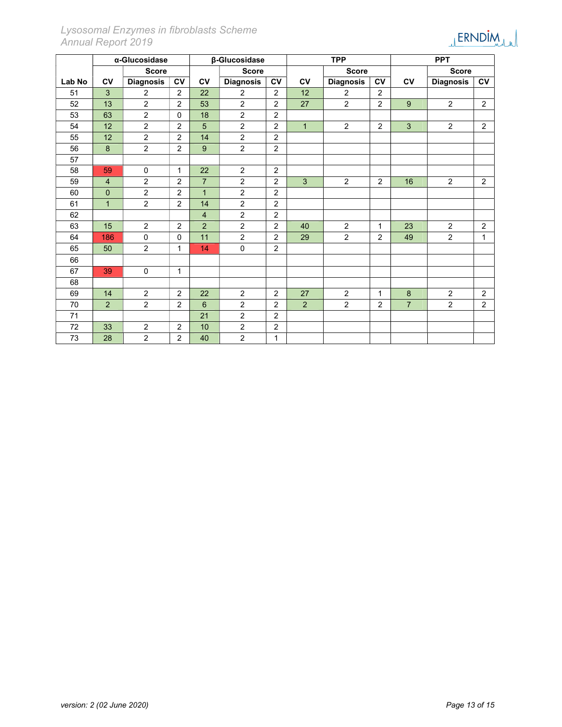|        | α-Glucosidase  |                  |                | β-Glucosidase  |                  |                | <b>TPP</b>   |                  |                | <b>PPT</b>     |                  |                |
|--------|----------------|------------------|----------------|----------------|------------------|----------------|--------------|------------------|----------------|----------------|------------------|----------------|
|        |                | <b>Score</b>     |                |                | <b>Score</b>     |                |              | <b>Score</b>     |                |                | <b>Score</b>     |                |
| Lab No | <b>CV</b>      | <b>Diagnosis</b> | <b>CV</b>      | <b>CV</b>      | <b>Diagnosis</b> | <b>CV</b>      | <b>CV</b>    | <b>Diagnosis</b> | <b>CV</b>      | <b>CV</b>      | <b>Diagnosis</b> | <b>CV</b>      |
| 51     | 3              | 2                | $\overline{2}$ | 22             | 2                | $\overline{2}$ | 12           | 2                | 2              |                |                  |                |
| 52     | 13             | $\overline{2}$   | $\overline{2}$ | 53             | 2                | 2              | 27           | $\overline{2}$   | $\overline{2}$ | 9              | $\overline{2}$   | $\overline{2}$ |
| 53     | 63             | $\overline{2}$   | $\Omega$       | 18             | $\overline{2}$   | $\overline{2}$ |              |                  |                |                |                  |                |
| 54     | 12             | $\overline{2}$   | $\overline{2}$ | 5              | $\overline{2}$   | 2              | $\mathbf{1}$ | 2                | $\overline{2}$ | $\overline{3}$ | $\overline{2}$   | $\overline{2}$ |
| 55     | 12             | $\overline{2}$   | 2              | 14             | $\overline{2}$   | $\overline{2}$ |              |                  |                |                |                  |                |
| 56     | 8              | $\overline{2}$   | $\overline{2}$ | 9              | $\overline{2}$   | $\overline{2}$ |              |                  |                |                |                  |                |
| 57     |                |                  |                |                |                  |                |              |                  |                |                |                  |                |
| 58     | 59             | $\mathbf 0$      | 1              | 22             | $\overline{2}$   | $\overline{2}$ |              |                  |                |                |                  |                |
| 59     | $\overline{4}$ | $\overline{2}$   | 2              | $\overline{7}$ | $\overline{2}$   | $\overline{2}$ | 3            | $\overline{2}$   | 2              | 16             | $\overline{2}$   | $\overline{2}$ |
| 60     | $\mathbf{0}$   | $\overline{2}$   | $\overline{2}$ | $\mathbf{1}$   | $\overline{2}$   | $\overline{2}$ |              |                  |                |                |                  |                |
| 61     | $\mathbf{1}$   | $\overline{2}$   | $\overline{2}$ | 14             | $\overline{2}$   | 2              |              |                  |                |                |                  |                |
| 62     |                |                  |                | $\overline{4}$ | $\overline{2}$   | 2              |              |                  |                |                |                  |                |
| 63     | 15             | 2                | 2              | 2              | 2                | $\overline{2}$ | 40           | $\overline{2}$   | 1              | 23             | $\overline{2}$   | $\overline{2}$ |
| 64     | 186            | $\Omega$         | $\Omega$       | 11             | $\overline{2}$   | 2              | 29           | $\overline{2}$   | 2              | 49             | $\overline{2}$   | $\mathbf{1}$   |
| 65     | 50             | 2                | 1              | 14             | $\mathbf 0$      | $\overline{2}$ |              |                  |                |                |                  |                |
| 66     |                |                  |                |                |                  |                |              |                  |                |                |                  |                |
| 67     | 39             | $\mathbf 0$      | 1              |                |                  |                |              |                  |                |                |                  |                |
| 68     |                |                  |                |                |                  |                |              |                  |                |                |                  |                |
| 69     | 14             | $\overline{2}$   | 2              | 22             | $\overline{2}$   | 2              | 27           | $\overline{2}$   | $\mathbf{1}$   | 8              | $\overline{c}$   | $\overline{c}$ |
| 70     | 2              | 2                | 2              | 6              | $\overline{2}$   | $\overline{2}$ | 2            | $\overline{a}$   | $\overline{2}$ | $\overline{7}$ | $\overline{2}$   | $\overline{2}$ |
| 71     |                |                  |                | 21             | $\overline{c}$   | $\overline{2}$ |              |                  |                |                |                  |                |
| 72     | 33             | $\overline{2}$   | 2              | 10             | $\overline{2}$   | $\overline{2}$ |              |                  |                |                |                  |                |
| 73     | 28             | $\overline{2}$   | $\overline{2}$ | 40             | $\overline{2}$   | 1              |              |                  |                |                |                  |                |

## Lysosomal Enzymes in fibroblasts Scheme Annual Report 2019

JERNDIM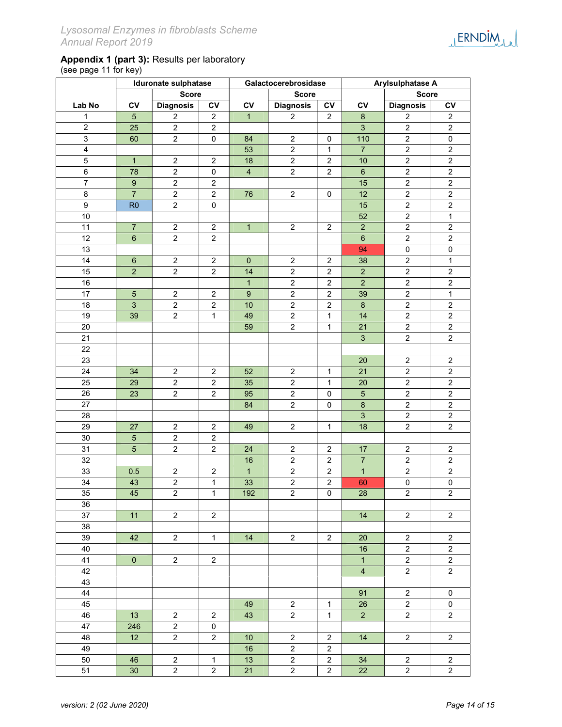|                         |                           | <b>Score</b>            |                         |                | <b>Score</b>            |                         |                         | <b>Score</b>            |                  |
|-------------------------|---------------------------|-------------------------|-------------------------|----------------|-------------------------|-------------------------|-------------------------|-------------------------|------------------|
| Lab No                  | <b>CV</b>                 | <b>Diagnosis</b>        | CV                      | CV             | <b>Diagnosis</b>        | CV                      | CV                      | <b>Diagnosis</b>        | ${\sf CV}$       |
| 1                       | $\sqrt{5}$                | $\boldsymbol{2}$        | $\overline{\mathbf{c}}$ | $\mathbf{1}$   | $\overline{2}$          | $\overline{c}$          | $\bf 8$                 | $\boldsymbol{2}$        | $\boldsymbol{2}$ |
| $\overline{\mathbf{c}}$ | 25                        | $\boldsymbol{2}$        | $\overline{c}$          |                |                         |                         | $\mathbf{3}$            | $\overline{c}$          | $\mathbf 2$      |
| 3                       | 60                        | $\boldsymbol{2}$        | $\pmb{0}$               | 84             | $\overline{c}$          | $\pmb{0}$               | 110                     | $\overline{a}$          | $\pmb{0}$        |
| $\overline{\mathbf{4}}$ |                           |                         |                         | 53             | $\overline{a}$          | $\mathbf{1}$            | $\overline{7}$          | $\overline{a}$          | $\boldsymbol{2}$ |
| 5                       | $\mathbf{1}$              | $\boldsymbol{2}$        | $\boldsymbol{2}$        | 18             | $\overline{c}$          | $\overline{\mathbf{c}}$ | 10                      | $\overline{2}$          | $\boldsymbol{2}$ |
| 6                       | 78                        | $\boldsymbol{2}$        | $\pmb{0}$               | $\overline{4}$ | $\overline{a}$          | $\overline{\mathbf{c}}$ | $\, 6$                  | $\overline{a}$          | $\boldsymbol{2}$ |
| $\boldsymbol{7}$        | $\boldsymbol{9}$          | $\boldsymbol{2}$        | $\overline{\mathbf{c}}$ |                |                         |                         | 15                      | $\overline{c}$          | $\boldsymbol{2}$ |
| 8                       | $\overline{7}$            | $\mathbf 2$             | $\boldsymbol{2}$        | 76             | $\overline{c}$          | 0                       | 12                      | $\overline{c}$          | $\boldsymbol{2}$ |
| 9                       | R <sub>0</sub>            | $\boldsymbol{2}$        | $\pmb{0}$               |                |                         |                         | 15                      | $\overline{2}$          | $\boldsymbol{2}$ |
| 10                      |                           |                         |                         |                |                         |                         | 52                      | $\overline{2}$          | $\mathbf{1}$     |
| 11                      | $\boldsymbol{7}$          | $\boldsymbol{2}$        | 2                       | 1              | $\overline{c}$          | $\boldsymbol{2}$        | $\overline{c}$          | $\overline{a}$          | $\boldsymbol{2}$ |
| 12                      | 6                         | $\boldsymbol{2}$        | $\overline{\mathbf{c}}$ |                |                         |                         | $\,6\,$                 | $\boldsymbol{2}$        | $\overline{c}$   |
| 13                      |                           |                         |                         |                |                         |                         | 94                      | $\pmb{0}$               | $\pmb{0}$        |
| 14                      | $\,6$                     | $\boldsymbol{2}$        | $\overline{\mathbf{c}}$ | $\pmb{0}$      | $\overline{\mathbf{c}}$ | $\overline{\mathbf{c}}$ | 38                      | $\overline{c}$          | $\mathbf{1}$     |
| 15                      | $\mathbf 2$               | $\boldsymbol{2}$        | $\overline{\mathbf{c}}$ | 14             | $\overline{\mathbf{c}}$ | $\overline{\mathbf{c}}$ | $\overline{c}$          | $\boldsymbol{2}$        | $\sqrt{2}$       |
| 16                      |                           |                         |                         | $\mathbf{1}$   | $\overline{\mathbf{c}}$ | $\boldsymbol{2}$        | $\mathbf 2$             | $\boldsymbol{2}$        | $\sqrt{2}$       |
| 17                      | $\mathbf 5$               | $\boldsymbol{2}$        | $\overline{\mathbf{c}}$ | $9\,$          | $\overline{\mathbf{c}}$ | $\boldsymbol{2}$        | 39                      | $\boldsymbol{2}$        | $\mathbf{1}$     |
| 18                      | $\ensuremath{\mathsf{3}}$ | $\overline{\mathbf{c}}$ | $\boldsymbol{2}$        | 10             | $\overline{\mathbf{c}}$ | $\boldsymbol{2}$        | $\bf 8$                 | $\overline{\mathbf{c}}$ | $\boldsymbol{2}$ |
| 19                      | 39                        | $\boldsymbol{2}$        | $\mathbf{1}$            | 49             | $\overline{2}$          | $\mathbf{1}$            | 14                      | $\overline{2}$          | $\overline{2}$   |
| 20                      |                           |                         |                         | 59             | $\overline{c}$          | $\mathbf{1}$            | 21                      | $\overline{c}$          | $\boldsymbol{2}$ |
| 21                      |                           |                         |                         |                |                         |                         | $\mathbf{3}$            | $\overline{a}$          | $\overline{2}$   |
| 22                      |                           |                         |                         |                |                         |                         |                         |                         |                  |
| 23                      |                           |                         |                         |                |                         |                         | 20                      | $\overline{c}$          | $\boldsymbol{2}$ |
| 24                      | 34                        | $\overline{\mathbf{c}}$ | 2                       | 52             | 2                       | 1                       | 21                      | $\overline{c}$          | $\boldsymbol{2}$ |
| 25                      | 29                        | $\overline{2}$          | $\overline{c}$          | 35             | $\overline{c}$          | $\mathbf{1}$            | 20                      | $\overline{2}$          | $\sqrt{2}$       |
| 26                      | 23                        | $\overline{c}$          | $\overline{\mathbf{c}}$ | 95             | $\overline{a}$          | 0                       | $\sqrt{5}$              | $\overline{a}$          | $\overline{c}$   |
| 27                      |                           |                         |                         | 84             | $\overline{a}$          | 0                       | $\bf 8$                 | $\overline{c}$          | $\boldsymbol{2}$ |
| 28                      |                           |                         |                         |                |                         |                         | $\mathbf{3}$            | $\overline{a}$          | $\overline{2}$   |
| 29                      | 27                        | $\overline{c}$          | 2                       | 49             | $\overline{c}$          | 1                       | 18                      | $\overline{2}$          | $\overline{2}$   |
| $30\,$                  | $\overline{5}$            | $\overline{c}$          | $\overline{c}$          |                |                         |                         |                         |                         |                  |
| 31                      | $\overline{5}$            | $\boldsymbol{2}$        | $\overline{c}$          | 24             | $\overline{a}$          | $\overline{\mathbf{c}}$ | 17                      | $\overline{a}$          | $\overline{c}$   |
| 32                      |                           |                         |                         | 16             | $\overline{a}$          | $\overline{\mathbf{c}}$ | $\overline{7}$          | $\overline{2}$          | $\boldsymbol{2}$ |
| 33                      | 0.5                       | $\boldsymbol{2}$        | $\overline{\mathbf{c}}$ | $\mathbf{1}$   | $\overline{c}$          | $\overline{c}$          | $\mathbf{1}$            | $\overline{c}$          | $\overline{a}$   |
| 34                      | 43                        | $\overline{c}$          | $\mathbf{1}$            | 33             | $\overline{a}$          | $\boldsymbol{2}$        | 60                      | $\pmb{0}$               | $\pmb{0}$        |
| 35                      | 45                        | $\boldsymbol{2}$        | 1                       | 192            | $\overline{c}$          | $\pmb{0}$               | 28                      | $\overline{c}$          | $\overline{a}$   |
| $36\,$                  |                           |                         |                         |                |                         |                         |                         |                         |                  |
| 37                      | 11                        | $\overline{2}$          | $\overline{2}$          |                |                         |                         | 14                      | $\overline{2}$          | $\overline{a}$   |
| 38                      |                           |                         |                         |                |                         |                         |                         |                         |                  |
| 39                      | 42                        | $\overline{2}$          | $\mathbf{1}$            | 14             | $\overline{2}$          | $\overline{c}$          | 20                      | $\overline{2}$          | $\boldsymbol{2}$ |
| 40                      |                           |                         |                         |                |                         |                         | 16                      | $\overline{2}$          | $\overline{a}$   |
| 41                      | $\overline{0}$            | $\overline{2}$          | $\overline{2}$          |                |                         |                         | $\overline{1}$          | $\overline{a}$          | $\overline{a}$   |
| 42                      |                           |                         |                         |                |                         |                         | $\overline{\mathbf{4}}$ | $\overline{2}$          | $\overline{2}$   |
| 43                      |                           |                         |                         |                |                         |                         |                         |                         |                  |
| 44                      |                           |                         |                         |                |                         |                         | 91                      | $\overline{2}$          | $\pmb{0}$        |
| 45                      |                           |                         |                         | 49             | $\overline{a}$          | $\mathbf{1}$            | 26                      | $\overline{a}$          | 0                |

46 | 13 | 2 | 2 | 43 | 2 | 1 | 2 | 2 | 2

48 | 12 | 2 | 2 | 10 | 2 | 2 | 14 | 2 | 2

50 46 2 1 31 2 2 34 2 2 51 | 30 | 2 | 2 | 21 | 2 | 2 | 22 | 2 | 2

49 | | | | 16 | 2 | 2

**JERNDIM** 

47 246 2 0